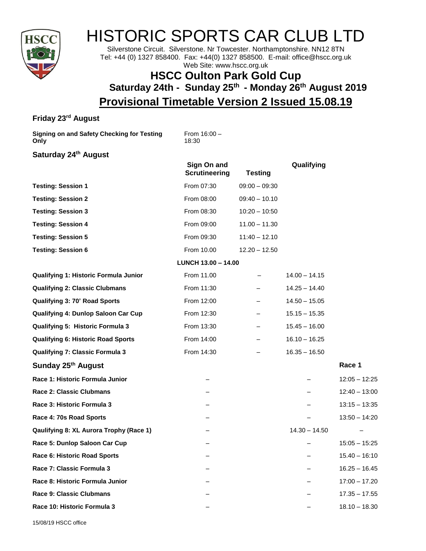

# HISTORIC SPORTS CAR CLUB LTD

Silverstone Circuit. Silverstone. Nr Towcester. Northamptonshire. NN12 8TN Tel: +44 (0) 1327 858400. Fax: +44(0) 1327 858500. E-mail: office@hscc.org.uk Web Site: www.hscc.org.uk

## **HSCC Oulton Park Gold Cup Saturday 24th - Sunday 25 th - Monday 26 th August 2019 Provisional Timetable Version 2 Issued 15.08.19**

### **Friday 23rd August**

**Signing on and Safety Checking for Testing Only**

From 16:00 – 18:30

#### **Saturday 24 th August**

|                                              | Sign On and<br><b>Scrutineering</b> | <b>Testing</b>  | Qualifying      |                 |
|----------------------------------------------|-------------------------------------|-----------------|-----------------|-----------------|
| <b>Testing: Session 1</b>                    | From 07:30                          | $09:00 - 09:30$ |                 |                 |
| <b>Testing: Session 2</b>                    | From 08:00                          | $09:40 - 10.10$ |                 |                 |
| <b>Testing: Session 3</b>                    | From 08:30                          | $10:20 - 10:50$ |                 |                 |
| <b>Testing: Session 4</b>                    | From 09:00                          | $11.00 - 11.30$ |                 |                 |
| <b>Testing: Session 5</b>                    | From 09:30                          | $11:40 - 12.10$ |                 |                 |
| <b>Testing: Session 6</b>                    | From 10.00                          | $12.20 - 12.50$ |                 |                 |
|                                              | LUNCH 13.00 - 14.00                 |                 |                 |                 |
| <b>Qualifying 1: Historic Formula Junior</b> | From 11.00                          |                 | $14.00 - 14.15$ |                 |
| <b>Qualifying 2: Classic Clubmans</b>        | From 11:30                          |                 | $14.25 - 14.40$ |                 |
| <b>Qualifying 3: 70' Road Sports</b>         | From 12:00                          |                 | $14.50 - 15.05$ |                 |
| Qualifying 4: Dunlop Saloon Car Cup          | From 12:30                          |                 | $15.15 - 15.35$ |                 |
| Qualifying 5: Historic Formula 3             | From 13:30                          |                 | $15.45 - 16.00$ |                 |
| <b>Qualifying 6: Historic Road Sports</b>    | From 14:00                          |                 | $16.10 - 16.25$ |                 |
| <b>Qualifying 7: Classic Formula 3</b>       | From 14:30                          |                 | $16.35 - 16.50$ |                 |
| Sunday 25th August                           |                                     |                 |                 | Race 1          |
| Race 1: Historic Formula Junior              |                                     |                 |                 | $12:05 - 12:25$ |
| <b>Race 2: Classic Clubmans</b>              |                                     |                 |                 | $12:40 - 13:00$ |
| Race 3: Historic Formula 3                   |                                     |                 |                 | $13:15 - 13:35$ |
| Race 4: 70s Road Sports                      |                                     |                 |                 | $13:50 - 14:20$ |
| Qaulifying 8: XL Aurora Trophy (Race 1)      |                                     |                 | $14.30 - 14.50$ |                 |
| Race 5: Dunlop Saloon Car Cup                |                                     |                 |                 | $15:05 - 15:25$ |
| Race 6: Historic Road Sports                 |                                     |                 |                 | $15.40 - 16:10$ |
| Race 7: Classic Formula 3                    |                                     |                 |                 | $16.25 - 16.45$ |
| Race 8: Historic Formula Junior              |                                     |                 |                 | $17:00 - 17.20$ |
| <b>Race 9: Classic Clubmans</b>              |                                     |                 |                 | $17.35 - 17.55$ |
| Race 10: Historic Formula 3                  |                                     |                 |                 | $18.10 - 18.30$ |
|                                              |                                     |                 |                 |                 |